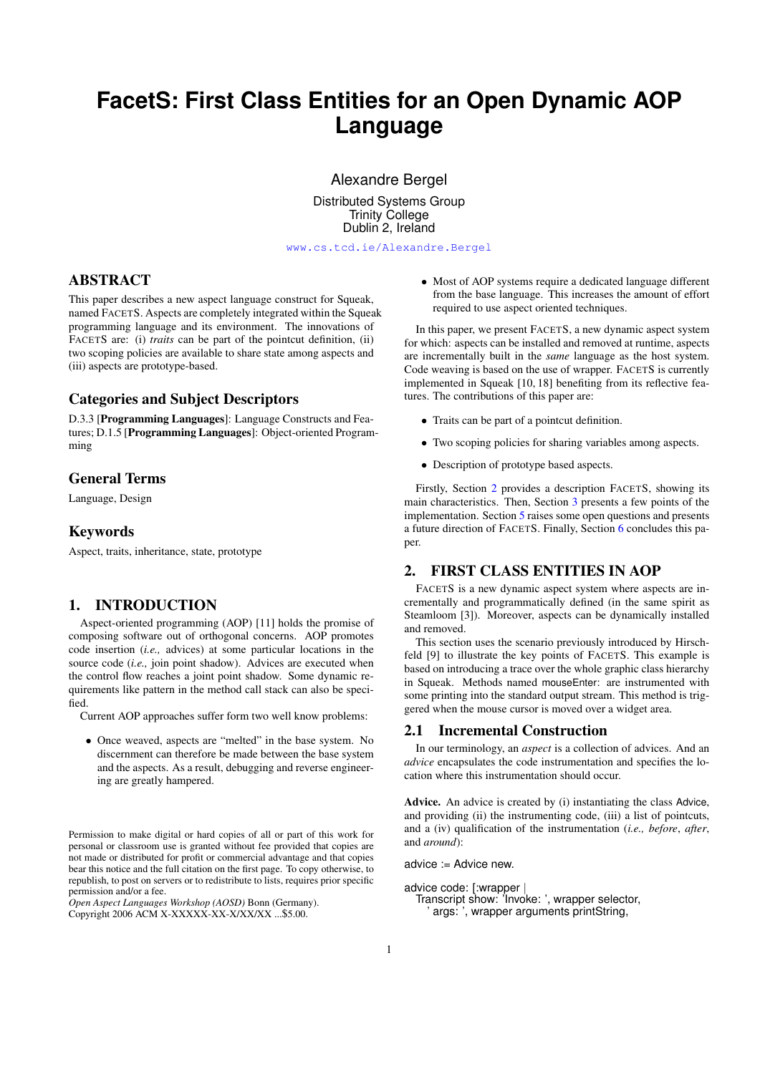# **FacetS: First Class Entities for an Open Dynamic AOP Language**

Alexandre Bergel

Distributed Systems Group Trinity College Dublin 2, Ireland

[www.cs.tcd.ie/Alexandre.Bergel](http://www.cs.tcd.ie/Alexandre.Bergel)

# ABSTRACT

This paper describes a new aspect language construct for Squeak, named FACETS. Aspects are completely integrated within the Squeak programming language and its environment. The innovations of FACETS are: (i) *traits* can be part of the pointcut definition, (ii) two scoping policies are available to share state among aspects and (iii) aspects are prototype-based.

#### Categories and Subject Descriptors

D.3.3 [Programming Languages]: Language Constructs and Features; D.1.5 [Programming Languages]: Object-oriented Programming

# General Terms

Language, Design

# Keywords

Aspect, traits, inheritance, state, prototype

## 1. INTRODUCTION

Aspect-oriented programming (AOP) [11] holds the promise of composing software out of orthogonal concerns. AOP promotes code insertion (*i.e.,* advices) at some particular locations in the source code (*i.e.*, join point shadow). Advices are executed when the control flow reaches a joint point shadow. Some dynamic requirements like pattern in the method call stack can also be specified.

Current AOP approaches suffer form two well know problems:

• Once weaved, aspects are "melted" in the base system. No discernment can therefore be made between the base system and the aspects. As a result, debugging and reverse engineering are greatly hampered.

*Open Aspect Languages Workshop (AOSD)* Bonn (Germany). Copyright 2006 ACM X-XXXXX-XX-X/XX/XX ...\$5.00.

• Most of AOP systems require a dedicated language different from the base language. This increases the amount of effort required to use aspect oriented techniques.

In this paper, we present FACETS, a new dynamic aspect system for which: aspects can be installed and removed at runtime, aspects are incrementally built in the *same* language as the host system. Code weaving is based on the use of wrapper. FACETS is currently implemented in Squeak [10, 18] benefiting from its reflective features. The contributions of this paper are:

- Traits can be part of a pointcut definition.
- Two scoping policies for sharing variables among aspects.
- Description of prototype based aspects.

Firstly, Section [2](#page-0-0) provides a description FACETS, showing its main characteristics. Then, Section [3](#page-2-0) presents a few points of the implementation. Section [5](#page-3-0) raises some open questions and presents a future direction of FACETS. Finally, Section [6](#page-3-1) concludes this paper.

# <span id="page-0-0"></span>2. FIRST CLASS ENTITIES IN AOP

FACETS is a new dynamic aspect system where aspects are incrementally and programmatically defined (in the same spirit as Steamloom [3]). Moreover, aspects can be dynamically installed and removed.

This section uses the scenario previously introduced by Hirschfeld [9] to illustrate the key points of FACETS. This example is based on introducing a trace over the whole graphic class hierarchy in Squeak. Methods named mouseEnter: are instrumented with some printing into the standard output stream. This method is triggered when the mouse cursor is moved over a widget area.

#### 2.1 Incremental Construction

In our terminology, an *aspect* is a collection of advices. And an *advice* encapsulates the code instrumentation and specifies the location where this instrumentation should occur.

Advice. An advice is created by (i) instantiating the class Advice, and providing (ii) the instrumenting code, (iii) a list of pointcuts, and a (iv) qualification of the instrumentation (*i.e., before*, *after*, and *around*):

advice := Advice new.

```
advice code: [:wrapper |
Transcript show: 'Invoke: ', wrapper selector,
  ' args: ', wrapper arguments printString,
```
Permission to make digital or hard copies of all or part of this work for personal or classroom use is granted without fee provided that copies are not made or distributed for profit or commercial advantage and that copies bear this notice and the full citation on the first page. To copy otherwise, to republish, to post on servers or to redistribute to lists, requires prior specific permission and/or a fee.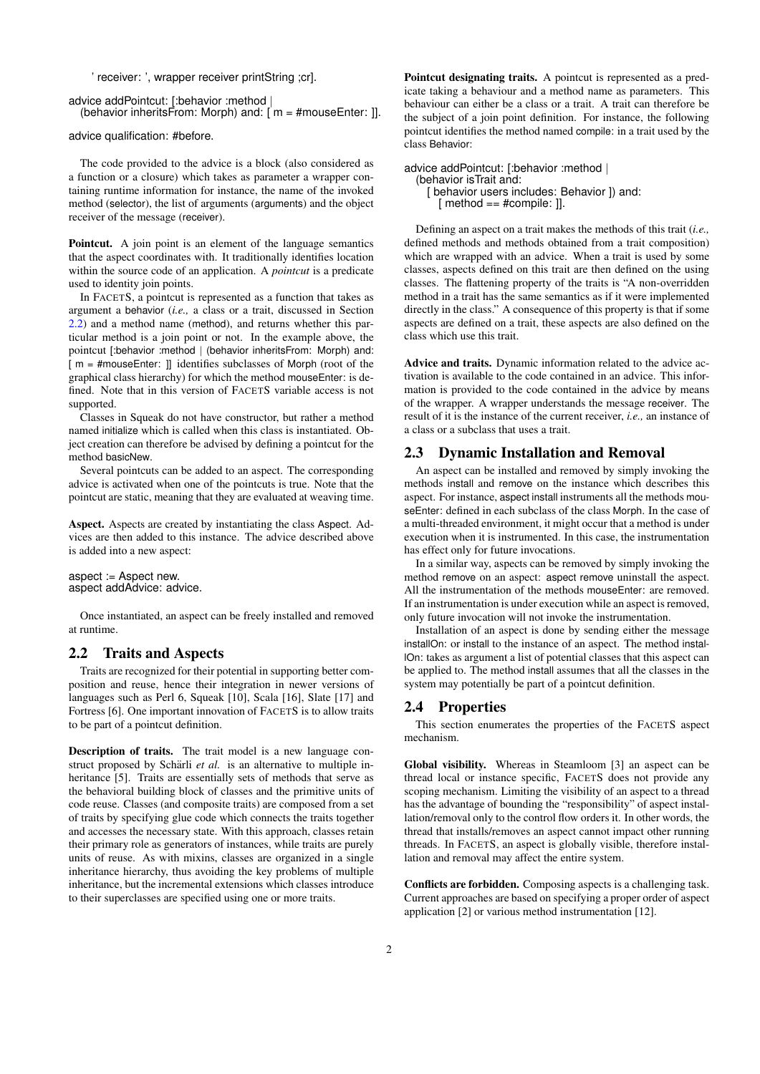' receiver: ', wrapper receiver printString ;cr].

advice addPointcut: [:behavior :method |

(behavior inheritsFrom: Morph) and:  $\int m = \text{H}$ mouseEnter:  $\left| \right|$ .

advice qualification: #before.

The code provided to the advice is a block (also considered as a function or a closure) which takes as parameter a wrapper containing runtime information for instance, the name of the invoked method (selector), the list of arguments (arguments) and the object receiver of the message (receiver).

Pointcut. A join point is an element of the language semantics that the aspect coordinates with. It traditionally identifies location within the source code of an application. A *pointcut* is a predicate used to identity join points.

In FACETS, a pointcut is represented as a function that takes as argument a behavior (*i.e.,* a class or a trait, discussed in Section [2.2\)](#page-1-0) and a method name (method), and returns whether this particular method is a join point or not. In the example above, the pointcut [:behavior :method | (behavior inheritsFrom: Morph) and: [ $m = #mouseEnter:$ ]] identifies subclasses of Morph (root of the graphical class hierarchy) for which the method mouseEnter: is defined. Note that in this version of FACETS variable access is not supported.

Classes in Squeak do not have constructor, but rather a method named initialize which is called when this class is instantiated. Object creation can therefore be advised by defining a pointcut for the method basicNew.

Several pointcuts can be added to an aspect. The corresponding advice is activated when one of the pointcuts is true. Note that the pointcut are static, meaning that they are evaluated at weaving time.

Aspect. Aspects are created by instantiating the class Aspect. Advices are then added to this instance. The advice described above is added into a new aspect:

#### aspect := Aspect new. aspect addAdvice: advice.

Once instantiated, an aspect can be freely installed and removed at runtime.

#### <span id="page-1-0"></span>2.2 Traits and Aspects

Traits are recognized for their potential in supporting better composition and reuse, hence their integration in newer versions of languages such as Perl 6, Squeak [10], Scala [16], Slate [17] and Fortress [6]. One important innovation of FACETS is to allow traits to be part of a pointcut definition.

Description of traits. The trait model is a new language construct proposed by Schärli et al. is an alternative to multiple inheritance [5]. Traits are essentially sets of methods that serve as the behavioral building block of classes and the primitive units of code reuse. Classes (and composite traits) are composed from a set of traits by specifying glue code which connects the traits together and accesses the necessary state. With this approach, classes retain their primary role as generators of instances, while traits are purely units of reuse. As with mixins, classes are organized in a single inheritance hierarchy, thus avoiding the key problems of multiple inheritance, but the incremental extensions which classes introduce to their superclasses are specified using one or more traits.

Pointcut designating traits. A pointcut is represented as a predicate taking a behaviour and a method name as parameters. This behaviour can either be a class or a trait. A trait can therefore be the subject of a join point definition. For instance, the following pointcut identifies the method named compile: in a trait used by the class Behavior:

```
advice addPointcut: [:behavior :method |
(behavior isTrait and:
  [ behavior users includes: Behavior ]) and:
    [ method == #compile: ]].
```
Defining an aspect on a trait makes the methods of this trait (*i.e.,* defined methods and methods obtained from a trait composition) which are wrapped with an advice. When a trait is used by some classes, aspects defined on this trait are then defined on the using classes. The flattening property of the traits is "A non-overridden method in a trait has the same semantics as if it were implemented directly in the class." A consequence of this property is that if some aspects are defined on a trait, these aspects are also defined on the class which use this trait.

Advice and traits. Dynamic information related to the advice activation is available to the code contained in an advice. This information is provided to the code contained in the advice by means of the wrapper. A wrapper understands the message receiver. The result of it is the instance of the current receiver, *i.e.,* an instance of a class or a subclass that uses a trait.

# 2.3 Dynamic Installation and Removal

An aspect can be installed and removed by simply invoking the methods install and remove on the instance which describes this aspect. For instance, aspect install instruments all the methods mouseEnter: defined in each subclass of the class Morph. In the case of a multi-threaded environment, it might occur that a method is under execution when it is instrumented. In this case, the instrumentation has effect only for future invocations.

In a similar way, aspects can be removed by simply invoking the method remove on an aspect: aspect remove uninstall the aspect. All the instrumentation of the methods mouseEnter: are removed. If an instrumentation is under execution while an aspect is removed, only future invocation will not invoke the instrumentation.

Installation of an aspect is done by sending either the message installOn: or install to the instance of an aspect. The method installOn: takes as argument a list of potential classes that this aspect can be applied to. The method install assumes that all the classes in the system may potentially be part of a pointcut definition.

#### 2.4 Properties

This section enumerates the properties of the FACETS aspect mechanism.

Global visibility. Whereas in Steamloom [3] an aspect can be thread local or instance specific, FACETS does not provide any scoping mechanism. Limiting the visibility of an aspect to a thread has the advantage of bounding the "responsibility" of aspect installation/removal only to the control flow orders it. In other words, the thread that installs/removes an aspect cannot impact other running threads. In FACETS, an aspect is globally visible, therefore installation and removal may affect the entire system.

Conflicts are forbidden. Composing aspects is a challenging task. Current approaches are based on specifying a proper order of aspect application [2] or various method instrumentation [12].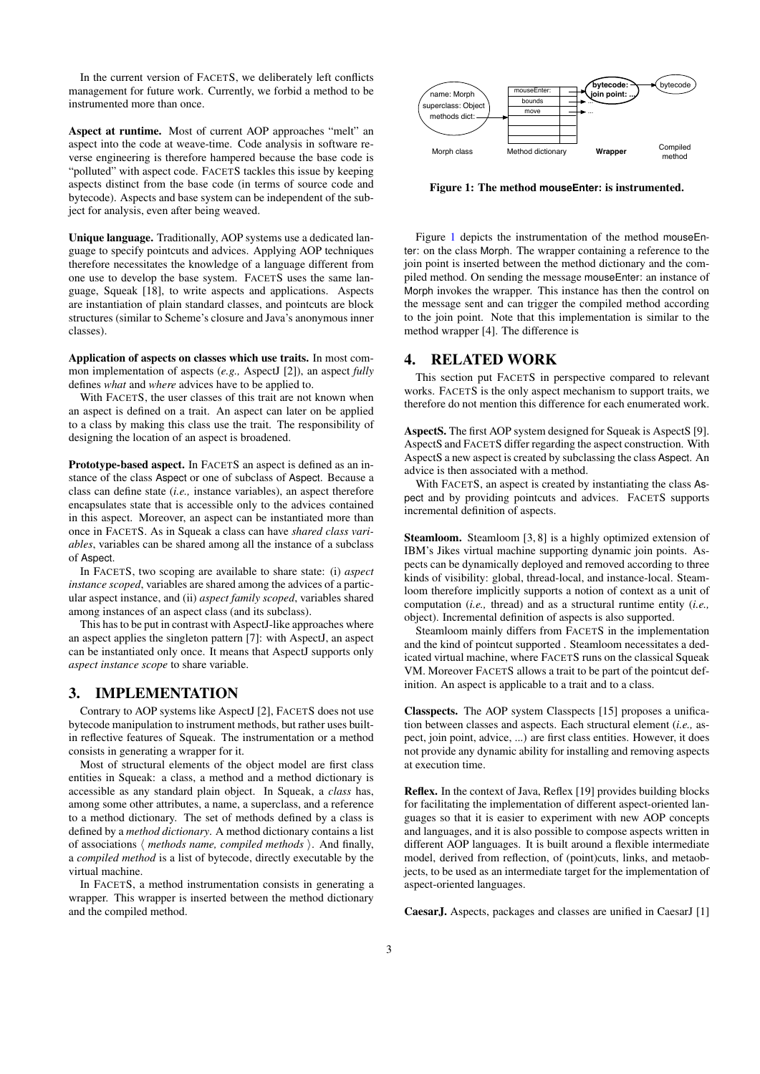In the current version of FACETS, we deliberately left conflicts management for future work. Currently, we forbid a method to be instrumented more than once.

Aspect at runtime. Most of current AOP approaches "melt" an aspect into the code at weave-time. Code analysis in software reverse engineering is therefore hampered because the base code is "polluted" with aspect code. FACETS tackles this issue by keeping aspects distinct from the base code (in terms of source code and bytecode). Aspects and base system can be independent of the subject for analysis, even after being weaved.

Unique language. Traditionally, AOP systems use a dedicated language to specify pointcuts and advices. Applying AOP techniques therefore necessitates the knowledge of a language different from one use to develop the base system. FACETS uses the same language, Squeak [18], to write aspects and applications. Aspects are instantiation of plain standard classes, and pointcuts are block structures (similar to Scheme's closure and Java's anonymous inner classes).

Application of aspects on classes which use traits. In most common implementation of aspects (*e.g.,* AspectJ [2]), an aspect *fully* defines *what* and *where* advices have to be applied to.

With FACETS, the user classes of this trait are not known when an aspect is defined on a trait. An aspect can later on be applied to a class by making this class use the trait. The responsibility of designing the location of an aspect is broadened.

Prototype-based aspect. In FACETS an aspect is defined as an instance of the class Aspect or one of subclass of Aspect. Because a class can define state (*i.e.,* instance variables), an aspect therefore encapsulates state that is accessible only to the advices contained in this aspect. Moreover, an aspect can be instantiated more than once in FACETS. As in Squeak a class can have *shared class variables*, variables can be shared among all the instance of a subclass of Aspect.

In FACETS, two scoping are available to share state: (i) *aspect instance scoped*, variables are shared among the advices of a particular aspect instance, and (ii) *aspect family scoped*, variables shared among instances of an aspect class (and its subclass).

This has to be put in contrast with AspectJ-like approaches where an aspect applies the singleton pattern [7]: with AspectJ, an aspect can be instantiated only once. It means that AspectJ supports only *aspect instance scope* to share variable.

## <span id="page-2-0"></span>3. IMPLEMENTATION

Contrary to AOP systems like AspectJ [2], FACETS does not use bytecode manipulation to instrument methods, but rather uses builtin reflective features of Squeak. The instrumentation or a method consists in generating a wrapper for it.

Most of structural elements of the object model are first class entities in Squeak: a class, a method and a method dictionary is accessible as any standard plain object. In Squeak, a *class* has, among some other attributes, a name, a superclass, and a reference to a method dictionary. The set of methods defined by a class is defined by a *method dictionary*. A method dictionary contains a list of associations  $\langle$  *methods name, compiled methods*  $\rangle$ . And finally, a *compiled method* is a list of bytecode, directly executable by the virtual machine. analysis and the second of the second of the second of the second of the second of the second of the compile and the compile of the compile of the compile of the compile of the compile of the second method. Name is a seco

In FACETS, a method instrumentation consists in generating a wrapper. This wrapper is inserted between the method dictionary



<span id="page-2-1"></span>Figure 1: The method **mouseEnter:** is instrumented.

Figure [1](#page-2-1) depicts the instrumentation of the method mouseEnter: on the class Morph. The wrapper containing a reference to the join point is inserted between the method dictionary and the compiled method. On sending the message mouseEnter: an instance of Morph invokes the wrapper. This instance has then the control on the message sent and can trigger the compiled method according to the join point. Note that this implementation is similar to the method wrapper [4]. The difference is

# 4. RELATED WORK

This section put FACETS in perspective compared to relevant works. FACETS is the only aspect mechanism to support traits, we therefore do not mention this difference for each enumerated work.

AspectS. The first AOP system designed for Squeak is AspectS [9]. AspectS and FACETS differ regarding the aspect construction. With AspectS a new aspect is created by subclassing the class Aspect. An advice is then associated with a method.

With FACETS, an aspect is created by instantiating the class Aspect and by providing pointcuts and advices. FACETS supports incremental definition of aspects.

Steamloom. Steamloom [3, 8] is a highly optimized extension of IBM's Jikes virtual machine supporting dynamic join points. Aspects can be dynamically deployed and removed according to three kinds of visibility: global, thread-local, and instance-local. Steamloom therefore implicitly supports a notion of context as a unit of computation (*i.e.,* thread) and as a structural runtime entity (*i.e.,* object). Incremental definition of aspects is also supported.

Steamloom mainly differs from FACETS in the implementation and the kind of pointcut supported . Steamloom necessitates a dedicated virtual machine, where FACETS runs on the classical Squeak VM. Moreover FACETS allows a trait to be part of the pointcut definition. An aspect is applicable to a trait and to a class.

Classpects. The AOP system Classpects [15] proposes a unification between classes and aspects. Each structural element (*i.e.,* aspect, join point, advice, ...) are first class entities. However, it does not provide any dynamic ability for installing and removing aspects at execution time.

Reflex. In the context of Java, Reflex [19] provides building blocks for facilitating the implementation of different aspect-oriented languages so that it is easier to experiment with new AOP concepts and languages, and it is also possible to compose aspects written in different AOP languages. It is built around a flexible intermediate model, derived from reflection, of (point)cuts, links, and metaobjects, to be used as an intermediate target for the implementation of aspect-oriented languages.

CaesarJ. Aspects, packages and classes are unified in CaesarJ [1]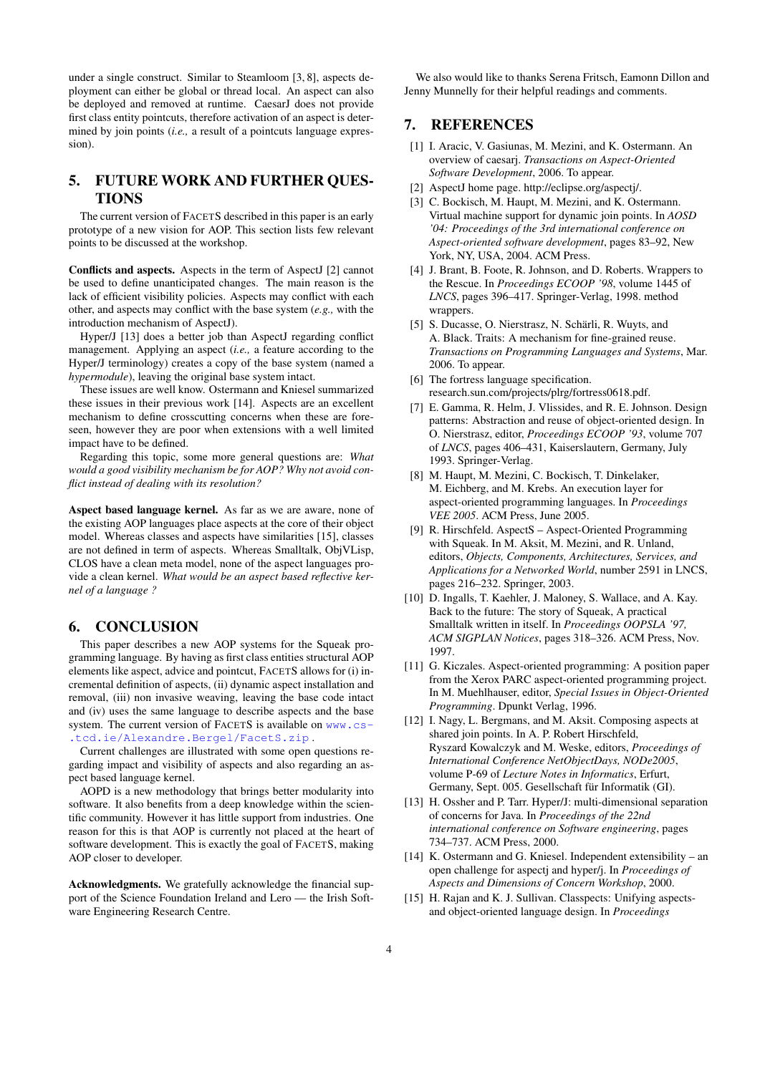under a single construct. Similar to Steamloom [3, 8], aspects deployment can either be global or thread local. An aspect can also be deployed and removed at runtime. CaesarJ does not provide first class entity pointcuts, therefore activation of an aspect is determined by join points (*i.e.,* a result of a pointcuts language expression).

# <span id="page-3-0"></span>5. FUTURE WORK AND FURTHER QUES-**TIONS**

The current version of FACETS described in this paper is an early prototype of a new vision for AOP. This section lists few relevant points to be discussed at the workshop.

Conflicts and aspects. Aspects in the term of AspectJ [2] cannot be used to define unanticipated changes. The main reason is the lack of efficient visibility policies. Aspects may conflict with each other, and aspects may conflict with the base system (*e.g.,* with the introduction mechanism of AspectJ).

Hyper/J [13] does a better job than AspectJ regarding conflict management. Applying an aspect (*i.e.,* a feature according to the Hyper/J terminology) creates a copy of the base system (named a *hypermodule*), leaving the original base system intact.

These issues are well know. Ostermann and Kniesel summarized these issues in their previous work [14]. Aspects are an excellent mechanism to define crosscutting concerns when these are foreseen, however they are poor when extensions with a well limited impact have to be defined.

Regarding this topic, some more general questions are: *What would a good visibility mechanism be for AOP? Why not avoid conflict instead of dealing with its resolution?*

Aspect based language kernel. As far as we are aware, none of the existing AOP languages place aspects at the core of their object model. Whereas classes and aspects have similarities [15], classes are not defined in term of aspects. Whereas Smalltalk, ObjVLisp, CLOS have a clean meta model, none of the aspect languages provide a clean kernel. *What would be an aspect based reflective kernel of a language ?*

# <span id="page-3-1"></span>6. CONCLUSION

This paper describes a new AOP systems for the Squeak programming language. By having as first class entities structural AOP elements like aspect, advice and pointcut, FACETS allows for (i) incremental definition of aspects, (ii) dynamic aspect installation and removal, (iii) non invasive weaving, leaving the base code intact and (iv) uses the same language to describe aspects and the base system. The current version of FACETS is available on [www.cs-](http://www.cs.tcd.ie/Alexandre.Bergel/FacetS.zip) [.tcd.ie/Alexandre.Bergel/FacetS.zip](http://www.cs.tcd.ie/Alexandre.Bergel/FacetS.zip) .

Current challenges are illustrated with some open questions regarding impact and visibility of aspects and also regarding an aspect based language kernel.

AOPD is a new methodology that brings better modularity into software. It also benefits from a deep knowledge within the scientific community. However it has little support from industries. One reason for this is that AOP is currently not placed at the heart of software development. This is exactly the goal of FACETS, making AOP closer to developer.

Acknowledgments. We gratefully acknowledge the financial support of the Science Foundation Ireland and Lero — the Irish Software Engineering Research Centre.

We also would like to thanks Serena Fritsch, Eamonn Dillon and Jenny Munnelly for their helpful readings and comments.

# 7. REFERENCES

- [1] I. Aracic, V. Gasiunas, M. Mezini, and K. Ostermann. An overview of caesarj. *Transactions on Aspect-Oriented Software Development*, 2006. To appear.
- [2] AspectJ home page. http://eclipse.org/aspectj/.
- [3] C. Bockisch, M. Haupt, M. Mezini, and K. Ostermann. Virtual machine support for dynamic join points. In *AOSD '04: Proceedings of the 3rd international conference on Aspect-oriented software development*, pages 83–92, New York, NY, USA, 2004. ACM Press.
- [4] J. Brant, B. Foote, R. Johnson, and D. Roberts. Wrappers to the Rescue. In *Proceedings ECOOP '98*, volume 1445 of *LNCS*, pages 396–417. Springer-Verlag, 1998. method wrappers.
- [5] S. Ducasse, O. Nierstrasz, N. Schärli, R. Wuyts, and A. Black. Traits: A mechanism for fine-grained reuse. *Transactions on Programming Languages and Systems*, Mar. 2006. To appear.
- [6] The fortress language specification. research.sun.com/projects/plrg/fortress0618.pdf.
- [7] E. Gamma, R. Helm, J. Vlissides, and R. E. Johnson. Design patterns: Abstraction and reuse of object-oriented design. In O. Nierstrasz, editor, *Proceedings ECOOP '93*, volume 707 of *LNCS*, pages 406–431, Kaiserslautern, Germany, July 1993. Springer-Verlag.
- [8] M. Haupt, M. Mezini, C. Bockisch, T. Dinkelaker, M. Eichberg, and M. Krebs. An execution layer for aspect-oriented programming languages. In *Proceedings VEE 2005*. ACM Press, June 2005.
- [9] R. Hirschfeld. AspectS Aspect-Oriented Programming with Squeak. In M. Aksit, M. Mezini, and R. Unland, editors, *Objects, Components, Architectures, Services, and Applications for a Networked World*, number 2591 in LNCS, pages 216–232. Springer, 2003.
- [10] D. Ingalls, T. Kaehler, J. Maloney, S. Wallace, and A. Kay. Back to the future: The story of Squeak, A practical Smalltalk written in itself. In *Proceedings OOPSLA '97, ACM SIGPLAN Notices*, pages 318–326. ACM Press, Nov. 1997.
- [11] G. Kiczales. Aspect-oriented programming: A position paper from the Xerox PARC aspect-oriented programming project. In M. Muehlhauser, editor, *Special Issues in Object-Oriented Programming*. Dpunkt Verlag, 1996.
- [12] I. Nagy, L. Bergmans, and M. Aksit. Composing aspects at shared join points. In A. P. Robert Hirschfeld, Ryszard Kowalczyk and M. Weske, editors, *Proceedings of International Conference NetObjectDays, NODe2005*, volume P-69 of *Lecture Notes in Informatics*, Erfurt, Germany, Sept. 005. Gesellschaft für Informatik (GI).
- [13] H. Ossher and P. Tarr. Hyper/J: multi-dimensional separation of concerns for Java. In *Proceedings of the 22nd international conference on Software engineering*, pages 734–737. ACM Press, 2000.
- [14] K. Ostermann and G. Kniesel. Independent extensibility an open challenge for aspectj and hyper/j. In *Proceedings of Aspects and Dimensions of Concern Workshop*, 2000.
- [15] H. Rajan and K. J. Sullivan. Classpects: Unifying aspectsand object-oriented language design. In *Proceedings*